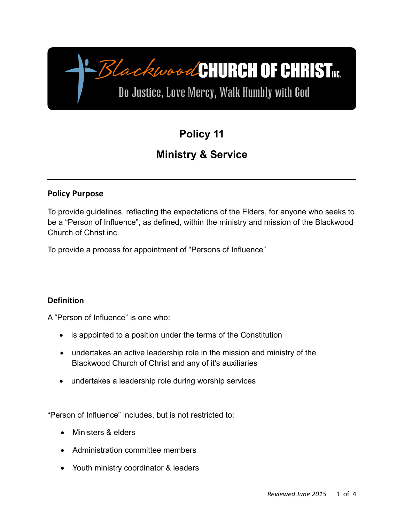# BlackwoodCHURCH OF CHRIST

Do Justice, Love Mercy, Walk Humbly with God

## **Policy 11**

### **Ministry & Service**

#### **Policy Purpose**

To provide guidelines, reflecting the expectations of the Elders, for anyone who seeks to be a "Person of Influence", as defined, within the ministry and mission of the Blackwood Church of Christ inc.

To provide a process for appointment of "Persons of Influence"

#### **Definition**

A "Person of Influence" is one who:

- is appointed to a position under the terms of the Constitution
- undertakes an active leadership role in the mission and ministry of the Blackwood Church of Christ and any of it's auxiliaries
- undertakes a leadership role during worship services

"Person of Influence" includes, but is not restricted to:

- Ministers & elders
- Administration committee members
- Youth ministry coordinator & leaders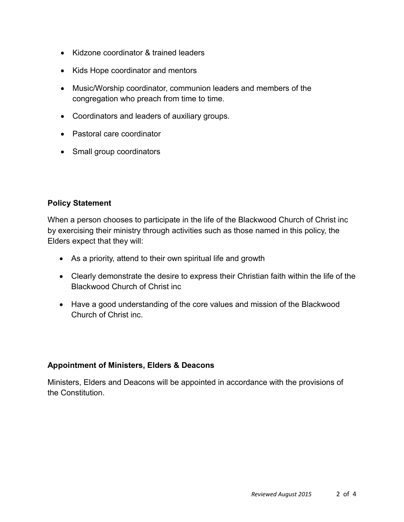- Kidzone coordinator & trained leaders
- Kids Hope coordinator and mentors
- Music/Worship coordinator, communion leaders and members of the congregation who preach from time to time.
- Coordinators and leaders of auxiliary groups.
- Pastoral care coordinator
- Small group coordinators

#### **Policy Statement**

When a person chooses to participate in the life of the Blackwood Church of Christ inc by exercising their ministry through activities such as those named in this policy, the Elders expect that they will:

- As a priority, attend to their own spiritual life and growth
- Clearly demonstrate the desire to express their Christian faith within the life of the Blackwood Church of Christ inc
- Have a good understanding of the core values and mission of the Blackwood Church of Christ inc.

#### **Appointment of Ministers, Elders & Deacons**

Ministers, Elders and Deacons will be appointed in accordance with the provisions of the Constitution.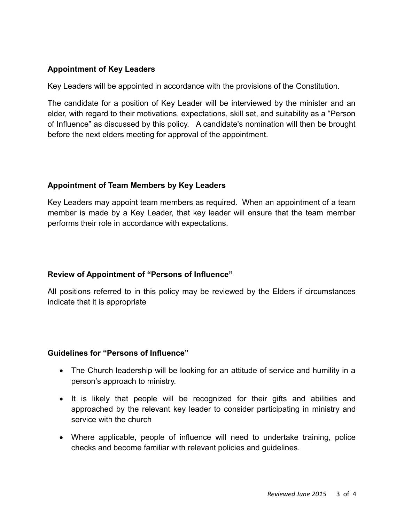#### **Appointment of Key Leaders**

Key Leaders will be appointed in accordance with the provisions of the Constitution.

The candidate for a position of Key Leader will be interviewed by the minister and an elder, with regard to their motivations, expectations, skill set, and suitability as a "Person of Influence" as discussed by this policy. A candidate's nomination will then be brought before the next elders meeting for approval of the appointment.

#### **Appointment of Team Members by Key Leaders**

Key Leaders may appoint team members as required. When an appointment of a team member is made by a Key Leader, that key leader will ensure that the team member performs their role in accordance with expectations.

#### **Review of Appointment of "Persons of Influence"**

All positions referred to in this policy may be reviewed by the Elders if circumstances indicate that it is appropriate

#### **Guidelines for "Persons of Influence"**

- The Church leadership will be looking for an attitude of service and humility in a person's approach to ministry.
- It is likely that people will be recognized for their gifts and abilities and approached by the relevant key leader to consider participating in ministry and service with the church
- Where applicable, people of influence will need to undertake training, police checks and become familiar with relevant policies and guidelines.